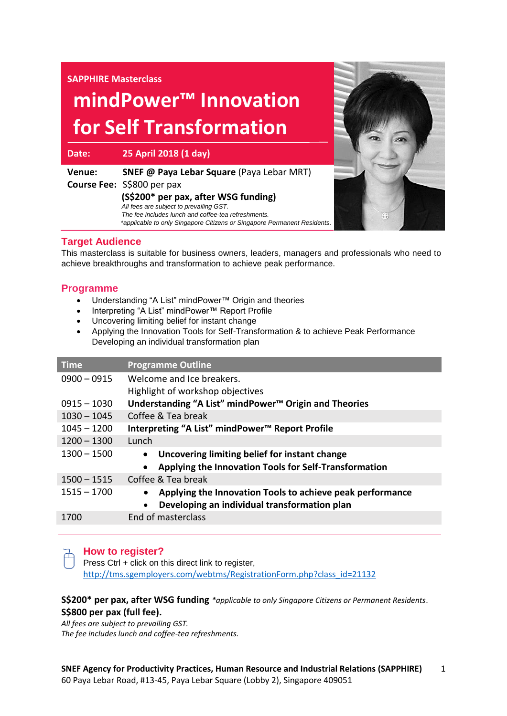### **SAPPHIRE Masterclass**

# **mindPower™ Innovation for Self Transformation**

**Date: 25 April 2018 (1 day)**

| Venue: | <b>SNEF @ Paya Lebar Square (Paya Lebar MRT)</b>                         |
|--------|--------------------------------------------------------------------------|
|        | <b>Course Fee: S\$800 per pax</b>                                        |
|        | (S\$200* per pax, after WSG funding)                                     |
|        | All fees are subject to prevailing GST.                                  |
|        | The fee includes lunch and coffee-tea refreshments.                      |
|        | *applicable to only Singapore Citizens or Singapore Permanent Residents. |



# **Target Audience**

This masterclass is suitable for business owners, leaders, managers and professionals who need to achieve breakthroughs and transformation to achieve peak performance.

### **Programme**

- Understanding "A List" mindPower™ Origin and theories
- Interpreting "A List" mindPower™ Report Profile
- Uncovering limiting belief for instant change
- Applying the Innovation Tools for Self-Transformation & to achieve Peak Performance Developing an individual transformation plan

| <b>Time</b>   | <b>Programme Outline</b>                                               |
|---------------|------------------------------------------------------------------------|
| $0900 - 0915$ | Welcome and Ice breakers.                                              |
|               | Highlight of workshop objectives                                       |
| $0915 - 1030$ | Understanding "A List" mindPower <sup>™</sup> Origin and Theories      |
| $1030 - 1045$ | Coffee & Tea break                                                     |
| $1045 - 1200$ | Interpreting "A List" mindPower™ Report Profile                        |
| $1200 - 1300$ | Lunch                                                                  |
| $1300 - 1500$ | Uncovering limiting belief for instant change                          |
|               | Applying the Innovation Tools for Self-Transformation<br>$\bullet$     |
| $1500 - 1515$ | Coffee & Tea break                                                     |
| $1515 - 1700$ | Applying the Innovation Tools to achieve peak performance<br>$\bullet$ |
|               | Developing an individual transformation plan                           |
| 1700          | End of masterclass                                                     |
|               |                                                                        |

# **How to register?**

Press Ctrl + click on this direct link to register, [http://tms.sgemployers.com/webtms/RegistrationForm.php?class\\_id=21132](http://tms.sgemployers.com/webtms/RegistrationForm.php?class_id=21132)

## **S\$200\* per pax, after WSG funding** *\*applicable to only Singapore Citizens or Permanent Residents*. **S\$800 per pax (full fee).**

*All fees are subject to prevailing GST. The fee includes lunch and coffee-tea refreshments.*